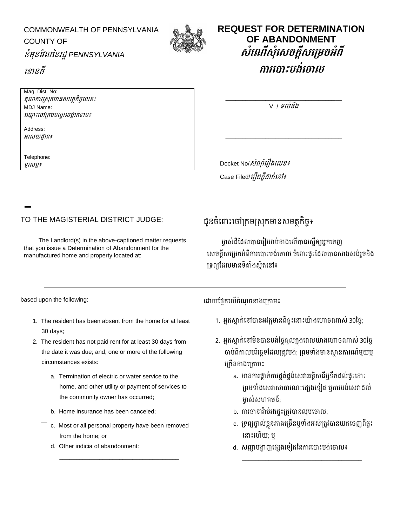COMMONWEALTH OF PENNSYLVANIA COUNTY OF ខំមុនវែលននរដ្ឋ*PENNSYLVANIA* 



## **REQUEST FOR DETERMINATION OF ABANDONMENT សំណ ើស ំណសចក្ដីសណរេចអំពី** ការកោះបង់កោល

\_\_\_\_\_\_\_\_\_\_\_\_\_\_\_\_\_\_\_\_\_\_\_\_\_\_\_\_\_\_\_\_\_\_\_ V. / ទល់នឹង

\_\_\_\_\_\_\_\_\_\_\_\_\_\_\_\_\_\_\_\_\_\_\_\_\_\_\_\_\_\_\_\_\_\_\_

Docket No/*សំណុំរឿងលេខ៖* Case Filed/*រឿងក្តីដាក់នៅ៖* 

TO THE MAGISTERIAL DISTRICT JUDGE: ជូនច្ំខ ោោះខ ោស្កមស្រុកមោនរមតថកិច្ច៖

The Landlord(s) in the above-captioned matter requests that you issue a Determination of Abandonment for the manufactured home and property located at:

ម្ចាស់ដីដែលបានរៀបរាប់ខាងលើបានស្នើឲ្យអ្នកចេញ សេចក្តីសម្រេចអំពីការបោះបង់ចោល ចំពោះផ្ទះដែលបានសាងសង់រួចនិង ទ្រព្យដែលមានទីតាំងស្ថិតនៅ៖

- 1. The resident has been absent from the home for at least 30 days;
- 2. The resident has not paid rent for at least 30 days from the date it was due; and, one or more of the following circumstances exists:
	- a. Termination of electric or water service to the home, and other utility or payment of services to the community owner has occurred;
	- b. Home insurance has been canceled;
	- c. Most or all personal property have been removed from the home; or

\_\_\_\_\_\_\_\_\_\_\_\_\_\_\_\_\_\_\_\_\_\_\_\_\_\_\_\_\_\_\_\_\_\_\_\_

d. Other indicia of abandonment:

based upon the following: ខដ្ោយវផ្ែកខលើច្ំណ្ ច្ ោងខស្កោម៖

- 1. អ្នកស្នាក់នៅបានអវត្តមានពីផ្ទះនោះយ៉ាងហោចណាស់ 30ថ្ងៃ;
- 2. អ្នកស្នាក់នៅមិនបានបង់ថ្លៃជួលក្នុងពេលយ៉ាងហោចណាស់ 30ថ្ងៃ ចាប់ពីកាលបរិច្ឆេទដែលត្រូវបង់; ព្រមទាំងមានស្ថានការណ៍មួយឬ ខស្ច្ើន ោងខស្កោម៖
	- a. មានការផ្ដាច់ការផ្គត់ផ្គង់សេវាអគ្គិសនីឬទឹកដល់ផ្ទះនោះ ស្ព្មទោំងខរវោសោធោរណ្ៈខផ្េងខទៀត ឬកោរបង់ខរវោដ្ល់ ម្ចាស់សហគមន៍;
	- b. ការធានារ៉ាប់រងផ្ទុះត្រូវបានលុបចោល;
	- c. ស្ទព្យផ្ទោល់ខៃួនភោគ្ខស្ច្ើនឬទោំងអ្រ់ស្តូែបោនយកខច្ញព្ីផ្ទោះ ខ ោោះខហើយ; ឬ

\_\_\_\_\_\_\_\_\_\_\_\_\_\_\_\_\_\_\_\_\_\_\_\_\_\_\_\_\_\_\_\_\_\_\_\_

d. សញ្ញាបង្ហាញផ្សេងទៀតនៃការបោះបង់ចោល៖

ខ ោនធី

Mag. Dist. No:

MDJ Name:

Address: អោរយដ្ឋោន៖

Telephone: ទូររព្ទ៖

តុលាការស្រុកមានសមត្ថកិច្ចលេខ៖

ខ ្ោោះខ ោស្កមមណ្ឌលថ្នោក់ទោប៖